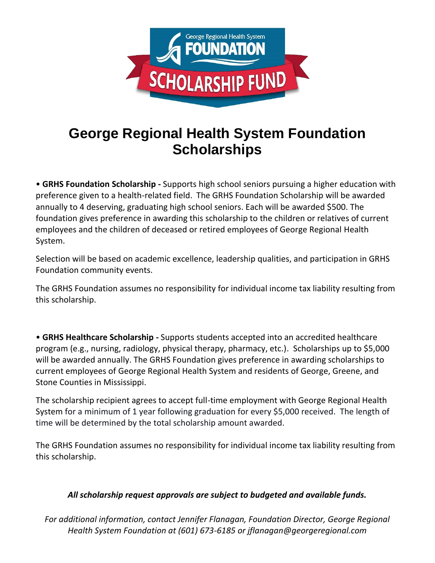

# **George Regional Health System Foundation Scholarships**

• **GRHS Foundation Scholarship -** Supports high school seniors pursuing a higher education with preference given to a health-related field. The GRHS Foundation Scholarship will be awarded annually to 4 deserving, graduating high school seniors. Each will be awarded \$500. The foundation gives preference in awarding this scholarship to the children or relatives of current employees and the children of deceased or retired employees of George Regional Health System.

Selection will be based on academic excellence, leadership qualities, and participation in GRHS Foundation community events.

The GRHS Foundation assumes no responsibility for individual income tax liability resulting from this scholarship.

• **GRHS Healthcare Scholarship -** Supports students accepted into an accredited healthcare program (e.g., nursing, radiology, physical therapy, pharmacy, etc.). Scholarships up to \$5,000 will be awarded annually. The GRHS Foundation gives preference in awarding scholarships to current employees of George Regional Health System and residents of George, Greene, and Stone Counties in Mississippi.

The scholarship recipient agrees to accept full-time employment with George Regional Health System for a minimum of 1 year following graduation for every \$5,000 received. The length of time will be determined by the total scholarship amount awarded.

The GRHS Foundation assumes no responsibility for individual income tax liability resulting from this scholarship.

### *All scholarship request approvals are subject to budgeted and available funds.*

*For additional information, contact Jennifer Flanagan, Foundation Director, George Regional Health System Foundation at (601) 673-6185 or jflanagan@georgeregional.com*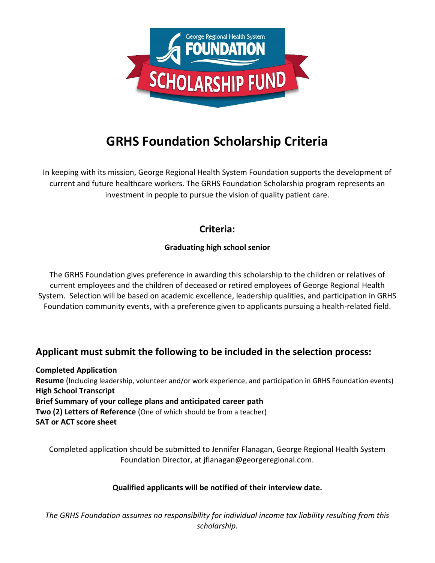

# **GRHS Foundation Scholarship Criteria**

In keeping with its mission, George Regional Health System Foundation supports the development of current and future healthcare workers. The GRHS Foundation Scholarship program represents an investment in people to pursue the vision of quality patient care.

## **Criteria:**

### **Graduating high school senior**

The GRHS Foundation gives preference in awarding this scholarship to the children or relatives of current employees and the children of deceased or retired employees of George Regional Health System. Selection will be based on academic excellence, leadership qualities, and participation in GRHS Foundation community events, with a preference given to applicants pursuing a health-related field.

## **Applicant must submit the following to be included in the selection process:**

**Completed Application Resume** (Including leadership, volunteer and/or work experience, and participation in GRHS Foundation events) **High School Transcript Brief Summary of your college plans and anticipated career path Two (2) Letters of Reference** (One of which should be from a teacher) **SAT or ACT score sheet**

Completed application should be submitted to Jennifer Flanagan, George Regional Health System Foundation Director, at jflanagan@georgeregional.com.

### **Qualified applicants will be notified of their interview date.**

*The GRHS Foundation assumes no responsibility for individual income tax liability resulting from this scholarship.*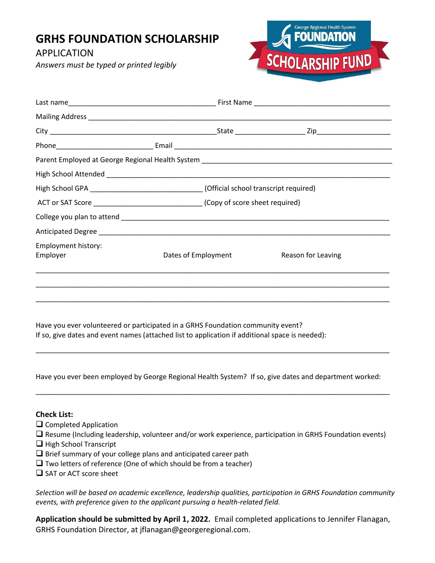## **GRHS FOUNDATION SCHOLARSHIP**

APPLICATION

*Answers must be typed or printed legibly*



|                                 | High School GPA ______________________________(Official school transcript required) |                                                                                  |                    |  |  |
|---------------------------------|-------------------------------------------------------------------------------------|----------------------------------------------------------------------------------|--------------------|--|--|
|                                 |                                                                                     | ACT or SAT Score _________________________________(Copy of score sheet required) |                    |  |  |
|                                 |                                                                                     |                                                                                  |                    |  |  |
|                                 |                                                                                     |                                                                                  |                    |  |  |
| Employment history:<br>Employer |                                                                                     | Dates of Employment                                                              | Reason for Leaving |  |  |
|                                 |                                                                                     |                                                                                  |                    |  |  |
|                                 |                                                                                     |                                                                                  |                    |  |  |
|                                 |                                                                                     |                                                                                  |                    |  |  |

Have you ever volunteered or participated in a GRHS Foundation community event? If so, give dates and event names (attached list to application if additional space is needed):

Have you ever been employed by George Regional Health System? If so, give dates and department worked:

\_\_\_\_\_\_\_\_\_\_\_\_\_\_\_\_\_\_\_\_\_\_\_\_\_\_\_\_\_\_\_\_\_\_\_\_\_\_\_\_\_\_\_\_\_\_\_\_\_\_\_\_\_\_\_\_\_\_\_\_\_\_\_\_\_\_\_\_\_\_\_\_\_\_\_\_\_\_\_\_\_\_\_\_\_\_\_\_\_\_\_

\_\_\_\_\_\_\_\_\_\_\_\_\_\_\_\_\_\_\_\_\_\_\_\_\_\_\_\_\_\_\_\_\_\_\_\_\_\_\_\_\_\_\_\_\_\_\_\_\_\_\_\_\_\_\_\_\_\_\_\_\_\_\_\_\_\_\_\_\_\_\_\_\_\_\_\_\_\_\_\_\_\_\_\_\_\_\_\_\_\_\_

#### **Check List:**

- Completed Application
- Resume (Including leadership, volunteer and/or work experience, participation in GRHS Foundation events)
- $\Box$  High School Transcript
- $\Box$  Brief summary of your college plans and anticipated career path
- $\Box$  Two letters of reference (One of which should be from a teacher)
- $\Box$  SAT or ACT score sheet

*Selection will be based on academic excellence, leadership qualities, participation in GRHS Foundation community events, with preference given to the applicant pursuing a health-related field.*

**Application should be submitted by April 1, 2022.** Email completed applications to Jennifer Flanagan, GRHS Foundation Director, at jflanagan@georgeregional.com.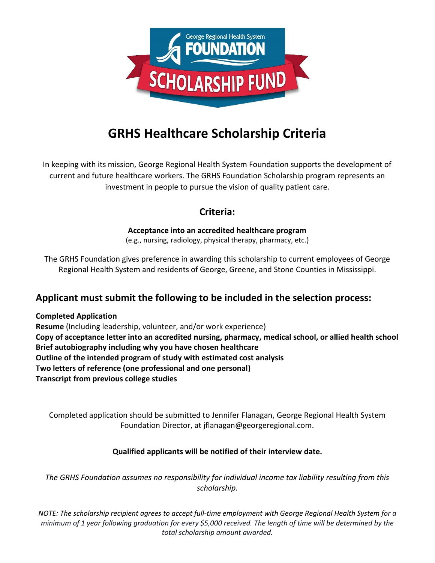

# **GRHS Healthcare Scholarship Criteria**

In keeping with its mission, George Regional Health System Foundation supports the development of current and future healthcare workers. The GRHS Foundation Scholarship program represents an investment in people to pursue the vision of quality patient care.

## **Criteria:**

### **Acceptance into an accredited healthcare program**

(e.g., nursing, radiology, physical therapy, pharmacy, etc.)

The GRHS Foundation gives preference in awarding this scholarship to current employees of George Regional Health System and residents of George, Greene, and Stone Counties in Mississippi.

### **Applicant must submit the following to be included in the selection process:**

#### **Completed Application**

**Resume** (Including leadership, volunteer, and/or work experience) **Copy of acceptance letter into an accredited nursing, pharmacy, medical school, or allied health school Brief autobiography including why you have chosen healthcare Outline of the intended program of study with estimated cost analysis Two letters of reference (one professional and one personal) Transcript from previous college studies** 

Completed application should be submitted to Jennifer Flanagan, George Regional Health System Foundation Director, at jflanagan@georgeregional.com.

### **Qualified applicants will be notified of their interview date.**

*The GRHS Foundation assumes no responsibility for individual income tax liability resulting from this scholarship.*

*NOTE: The scholarship recipient agrees to accept full-time employment with George Regional Health System for a minimum of 1 year following graduation for every \$5,000 received. The length of time will be determined by the total scholarship amount awarded.*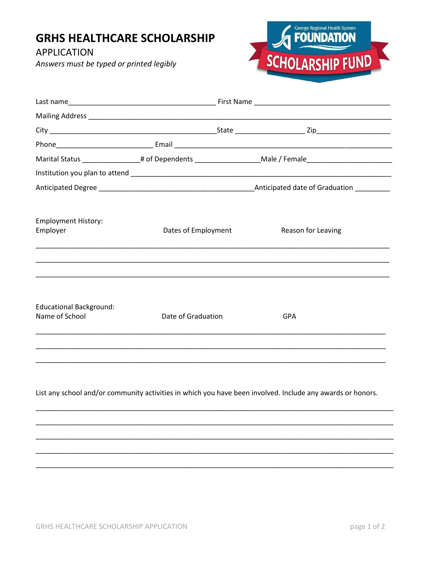## **GRHS HEALTHCARE SCHOLARSHIP**

**APPLICATION** 

Answers must be typed or printed legibly



|                                                  |                     |  | Marital Status _________________# of Dependents ____________________Male / Female___________________                                                                                                                 |  |  |
|--------------------------------------------------|---------------------|--|----------------------------------------------------------------------------------------------------------------------------------------------------------------------------------------------------------------------|--|--|
|                                                  |                     |  |                                                                                                                                                                                                                      |  |  |
|                                                  |                     |  |                                                                                                                                                                                                                      |  |  |
| <b>Employment History:</b><br>Employer           | Dates of Employment |  | Reason for Leaving<br>,一个人的人都是一个人的人,我们就是一个人的人,我们就是一个人的人,我们就是一个人的人,我们就是一个人的人,我们就是一个人的人,我们就是一个人的人,我们就是一个                                                                                                               |  |  |
| <b>Educational Background:</b><br>Name of School | Date of Graduation  |  | <b>GPA</b><br><u> 1980 - Jan James James James James James James James James James James James James James James James James</u><br>,一个人的人都是一个人的人,我们就是一个人的人,我们就是一个人的人,我们就是一个人的人,我们就是一个人的人,我们就是一个人的人,我们就是一个人的人,我们就是一个 |  |  |
|                                                  |                     |  |                                                                                                                                                                                                                      |  |  |

List any school and/or community activities in which you have been involved. Include any awards or honors.